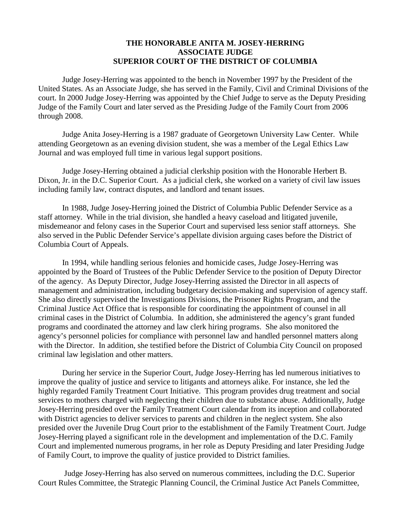## **THE HONORABLE ANITA M. JOSEY-HERRING ASSOCIATE JUDGE SUPERIOR COURT OF THE DISTRICT OF COLUMBIA**

Judge Josey-Herring was appointed to the bench in November 1997 by the President of the United States. As an Associate Judge, she has served in the Family, Civil and Criminal Divisions of the court. In 2000 Judge Josey-Herring was appointed by the Chief Judge to serve as the Deputy Presiding Judge of the Family Court and later served as the Presiding Judge of the Family Court from 2006 through 2008.

Judge Anita Josey-Herring is a 1987 graduate of Georgetown University Law Center. While attending Georgetown as an evening division student, she was a member of the Legal Ethics Law Journal and was employed full time in various legal support positions.

Judge Josey-Herring obtained a judicial clerkship position with the Honorable Herbert B. Dixon, Jr. in the D.C. Superior Court. As a judicial clerk, she worked on a variety of civil law issues including family law, contract disputes, and landlord and tenant issues.

In 1988, Judge Josey-Herring joined the District of Columbia Public Defender Service as a staff attorney. While in the trial division, she handled a heavy caseload and litigated juvenile, misdemeanor and felony cases in the Superior Court and supervised less senior staff attorneys. She also served in the Public Defender Service's appellate division arguing cases before the District of Columbia Court of Appeals.

In 1994, while handling serious felonies and homicide cases, Judge Josey-Herring was appointed by the Board of Trustees of the Public Defender Service to the position of Deputy Director of the agency. As Deputy Director, Judge Josey-Herring assisted the Director in all aspects of management and administration, including budgetary decision-making and supervision of agency staff. She also directly supervised the Investigations Divisions, the Prisoner Rights Program, and the Criminal Justice Act Office that is responsible for coordinating the appointment of counsel in all criminal cases in the District of Columbia. In addition, she administered the agency's grant funded programs and coordinated the attorney and law clerk hiring programs. She also monitored the agency's personnel policies for compliance with personnel law and handled personnel matters along with the Director. In addition, she testified before the District of Columbia City Council on proposed criminal law legislation and other matters.

During her service in the Superior Court, Judge Josey-Herring has led numerous initiatives to improve the quality of justice and service to litigants and attorneys alike. For instance, she led the highly regarded Family Treatment Court Initiative. This program provides drug treatment and social services to mothers charged with neglecting their children due to substance abuse. Additionally, Judge Josey-Herring presided over the Family Treatment Court calendar from its inception and collaborated with District agencies to deliver services to parents and children in the neglect system. She also presided over the Juvenile Drug Court prior to the establishment of the Family Treatment Court. Judge Josey-Herring played a significant role in the development and implementation of the D.C. Family Court and implemented numerous programs, in her role as Deputy Presiding and later Presiding Judge of Family Court, to improve the quality of justice provided to District families.

Judge Josey-Herring has also served on numerous committees, including the D.C. Superior Court Rules Committee, the Strategic Planning Council, the Criminal Justice Act Panels Committee,